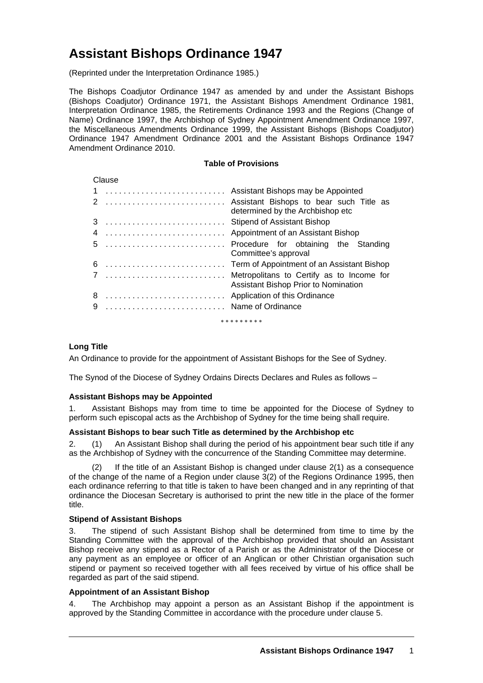# **Assistant Bishops Ordinance 1947**

(Reprinted under the Interpretation Ordinance 1985.)

The Bishops Coadjutor Ordinance 1947 as amended by and under the Assistant Bishops (Bishops Coadjutor) Ordinance 1971, the Assistant Bishops Amendment Ordinance 1981, Interpretation Ordinance 1985, the Retirements Ordinance 1993 and the Regions (Change of Name) Ordinance 1997, the Archbishop of Sydney Appointment Amendment Ordinance 1997, the Miscellaneous Amendments Ordinance 1999, the Assistant Bishops (Bishops Coadjutor) Ordinance 1947 Amendment Ordinance 2001 and the Assistant Bishops Ordinance 1947 Amendment Ordinance 2010.

## **Table of Provisions**

| Clause            |                   |                                                                                   |  |
|-------------------|-------------------|-----------------------------------------------------------------------------------|--|
|                   |                   | Assistant Bishops may be Appointed                                                |  |
|                   |                   | Assistant Bishops to bear such Title as<br>determined by the Archbishop etc       |  |
|                   |                   | <b>Stipend of Assistant Bishop</b>                                                |  |
|                   |                   | Appointment of an Assistant Bishop                                                |  |
|                   |                   | Procedure for obtaining the Standing<br>Committee's approval                      |  |
|                   |                   | Term of Appointment of an Assistant Bishop                                        |  |
|                   |                   | Metropolitans to Certify as to Income for<br>Assistant Bishop Prior to Nomination |  |
|                   |                   | Application of this Ordinance                                                     |  |
| 9                 | Name of Ordinance |                                                                                   |  |
| * * * * * * * * * |                   |                                                                                   |  |

## **Long Title**

An Ordinance to provide for the appointment of Assistant Bishops for the See of Sydney.

The Synod of the Diocese of Sydney Ordains Directs Declares and Rules as follows –

## **Assistant Bishops may be Appointed**

1. Assistant Bishops may from time to time be appointed for the Diocese of Sydney to perform such episcopal acts as the Archbishop of Sydney for the time being shall require.

#### **Assistant Bishops to bear such Title as determined by the Archbishop etc**

2. (1) An Assistant Bishop shall during the period of his appointment bear such title if any as the Archbishop of Sydney with the concurrence of the Standing Committee may determine.

 (2) If the title of an Assistant Bishop is changed under clause 2(1) as a consequence of the change of the name of a Region under clause 3(2) of the Regions Ordinance 1995, then each ordinance referring to that title is taken to have been changed and in any reprinting of that ordinance the Diocesan Secretary is authorised to print the new title in the place of the former title.

#### **Stipend of Assistant Bishops**

3. The stipend of such Assistant Bishop shall be determined from time to time by the Standing Committee with the approval of the Archbishop provided that should an Assistant Bishop receive any stipend as a Rector of a Parish or as the Administrator of the Diocese or any payment as an employee or officer of an Anglican or other Christian organisation such stipend or payment so received together with all fees received by virtue of his office shall be regarded as part of the said stipend.

## **Appointment of an Assistant Bishop**

4. The Archbishop may appoint a person as an Assistant Bishop if the appointment is approved by the Standing Committee in accordance with the procedure under clause 5.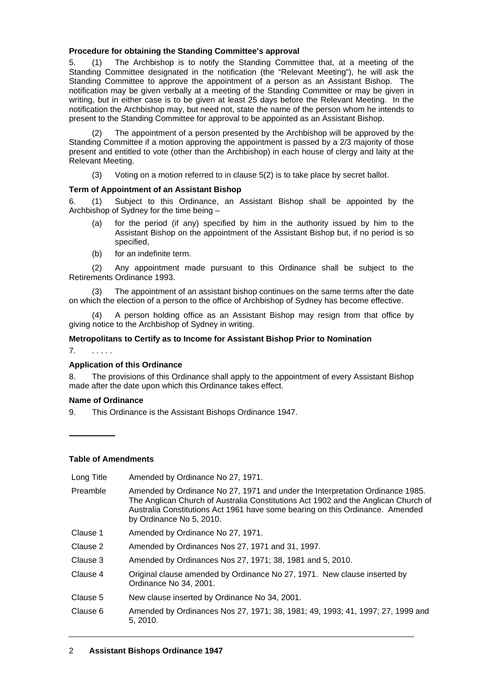## **Procedure for obtaining the Standing Committee's approval**

5. (1) The Archbishop is to notify the Standing Committee that, at a meeting of the Standing Committee designated in the notification (the "Relevant Meeting"), he will ask the Standing Committee to approve the appointment of a person as an Assistant Bishop. The notification may be given verbally at a meeting of the Standing Committee or may be given in writing, but in either case is to be given at least 25 days before the Relevant Meeting. In the notification the Archbishop may, but need not, state the name of the person whom he intends to present to the Standing Committee for approval to be appointed as an Assistant Bishop.

 (2) The appointment of a person presented by the Archbishop will be approved by the Standing Committee if a motion approving the appointment is passed by a 2/3 majority of those present and entitled to vote (other than the Archbishop) in each house of clergy and laity at the Relevant Meeting.

(3) Voting on a motion referred to in clause 5(2) is to take place by secret ballot.

## **Term of Appointment of an Assistant Bishop**

6. (1) Subject to this Ordinance, an Assistant Bishop shall be appointed by the Archbishop of Sydney for the time being –

- (a) for the period (if any) specified by him in the authority issued by him to the Assistant Bishop on the appointment of the Assistant Bishop but, if no period is so specified,
- (b) for an indefinite term.

 (2) Any appointment made pursuant to this Ordinance shall be subject to the Retirements Ordinance 1993.

 (3) The appointment of an assistant bishop continues on the same terms after the date on which the election of a person to the office of Archbishop of Sydney has become effective.

 (4) A person holding office as an Assistant Bishop may resign from that office by giving notice to the Archbishop of Sydney in writing.

## **Metropolitans to Certify as to Income for Assistant Bishop Prior to Nomination**

7. . . . . .

#### **Application of this Ordinance**

8. The provisions of this Ordinance shall apply to the appointment of every Assistant Bishop made after the date upon which this Ordinance takes effect.

#### **Name of Ordinance**

9. This Ordinance is the Assistant Bishops Ordinance 1947.

## **Table of Amendments**

| Long Title | Amended by Ordinance No 27, 1971.                                                                                                                                                                                                                                                |
|------------|----------------------------------------------------------------------------------------------------------------------------------------------------------------------------------------------------------------------------------------------------------------------------------|
| Preamble   | Amended by Ordinance No 27, 1971 and under the Interpretation Ordinance 1985.<br>The Anglican Church of Australia Constitutions Act 1902 and the Anglican Church of<br>Australia Constitutions Act 1961 have some bearing on this Ordinance. Amended<br>by Ordinance No 5, 2010. |
| Clause 1   | Amended by Ordinance No 27, 1971.                                                                                                                                                                                                                                                |
| Clause 2   | Amended by Ordinances Nos 27, 1971 and 31, 1997.                                                                                                                                                                                                                                 |
| Clause 3   | Amended by Ordinances Nos 27, 1971; 38, 1981 and 5, 2010.                                                                                                                                                                                                                        |
| Clause 4   | Original clause amended by Ordinance No 27, 1971. New clause inserted by<br>Ordinance No 34, 2001.                                                                                                                                                                               |
| Clause 5   | New clause inserted by Ordinance No 34, 2001.                                                                                                                                                                                                                                    |
| Clause 6   | Amended by Ordinances Nos 27, 1971; 38, 1981; 49, 1993; 41, 1997; 27, 1999 and<br>5, 2010.                                                                                                                                                                                       |